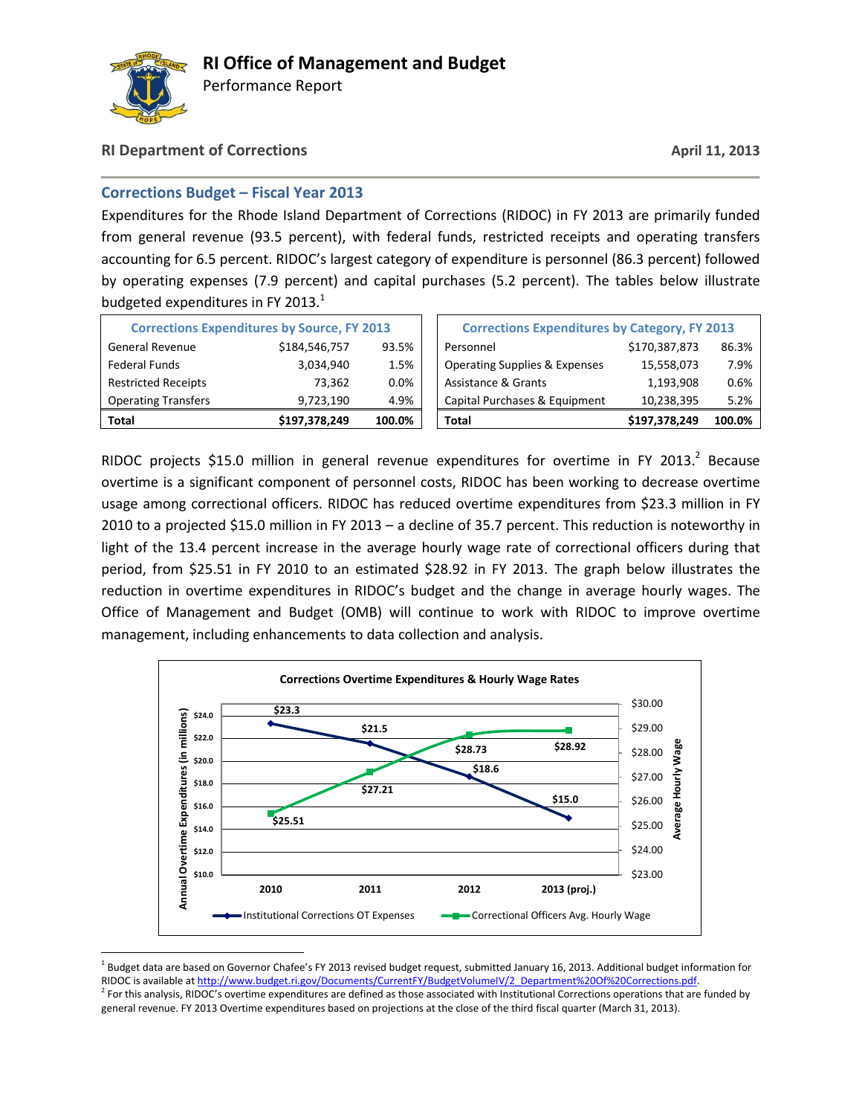

 $\overline{\phantom{a}}$ 

Performance Report

### **RI Department of Corrections April 11, 2013**

### **Corrections Budget – Fiscal Year 2013**

Expenditures for the Rhode Island Department of Corrections (RIDOC) in FY 2013 are primarily funded from general revenue (93.5 percent), with federal funds, restricted receipts and operating transfers accounting for 6.5 percent. RIDOC's largest category of expenditure is personnel (86.3 percent) followed by operating expenses (7.9 percent) and capital purchases (5.2 percent). The tables below illustrate budgeted expenditures in FY 2013.<sup>1</sup>

| <b>Corrections Expenditures by Source, FY 2013</b> |               |         | <b>Corrections Expenditures by Category, FY 2013</b> |               |        |
|----------------------------------------------------|---------------|---------|------------------------------------------------------|---------------|--------|
| <b>General Revenue</b>                             | \$184,546,757 | 93.5%   | Personnel                                            | \$170,387,873 | 86.3%  |
| <b>Federal Funds</b>                               | 3,034,940     | 1.5%    | <b>Operating Supplies &amp; Expenses</b>             | 15,558,073    | 7.9%   |
| <b>Restricted Receipts</b>                         | 73.362        | $0.0\%$ | Assistance & Grants                                  | 1,193,908     | 0.6%   |
| <b>Operating Transfers</b>                         | 9,723,190     | 4.9%    | Capital Purchases & Equipment                        | 10,238,395    | 5.2%   |
| Total                                              | \$197,378,249 | 100.0%  | <b>Total</b>                                         | \$197,378,249 | 100.0% |

RIDOC projects \$15.0 million in general revenue expenditures for overtime in FY 2013.<sup>2</sup> Because overtime is a significant component of personnel costs, RIDOC has been working to decrease overtime usage among correctional officers. RIDOC has reduced overtime expenditures from \$23.3 million in FY 2010 to a projected \$15.0 million in FY 2013 – a decline of 35.7 percent. This reduction is noteworthy in light of the 13.4 percent increase in the average hourly wage rate of correctional officers during that period, from \$25.51 in FY 2010 to an estimated \$28.92 in FY 2013. The graph below illustrates the reduction in overtime expenditures in RIDOC's budget and the change in average hourly wages. The Office of Management and Budget (OMB) will continue to work with RIDOC to improve overtime management, including enhancements to data collection and analysis.



<sup>&</sup>lt;sup>1</sup> Budget data are based on Governor Chafee's FY 2013 revised budget request, submitted January 16, 2013. Additional budget information for RIDOC is available at http://www.budget.ri.gov/Documents/CurrentFY/BudgetVolumeIV/2\_Department%20Of%20Corrections.pdf <sup>2</sup> For this analysis, RIDOC's overtime expenditures are defined as those associated with Institutional Corrections operations that are funded by

general revenue. FY 2013 Overtime expenditures based on projections at the close of the third fiscal quarter (March 31, 2013).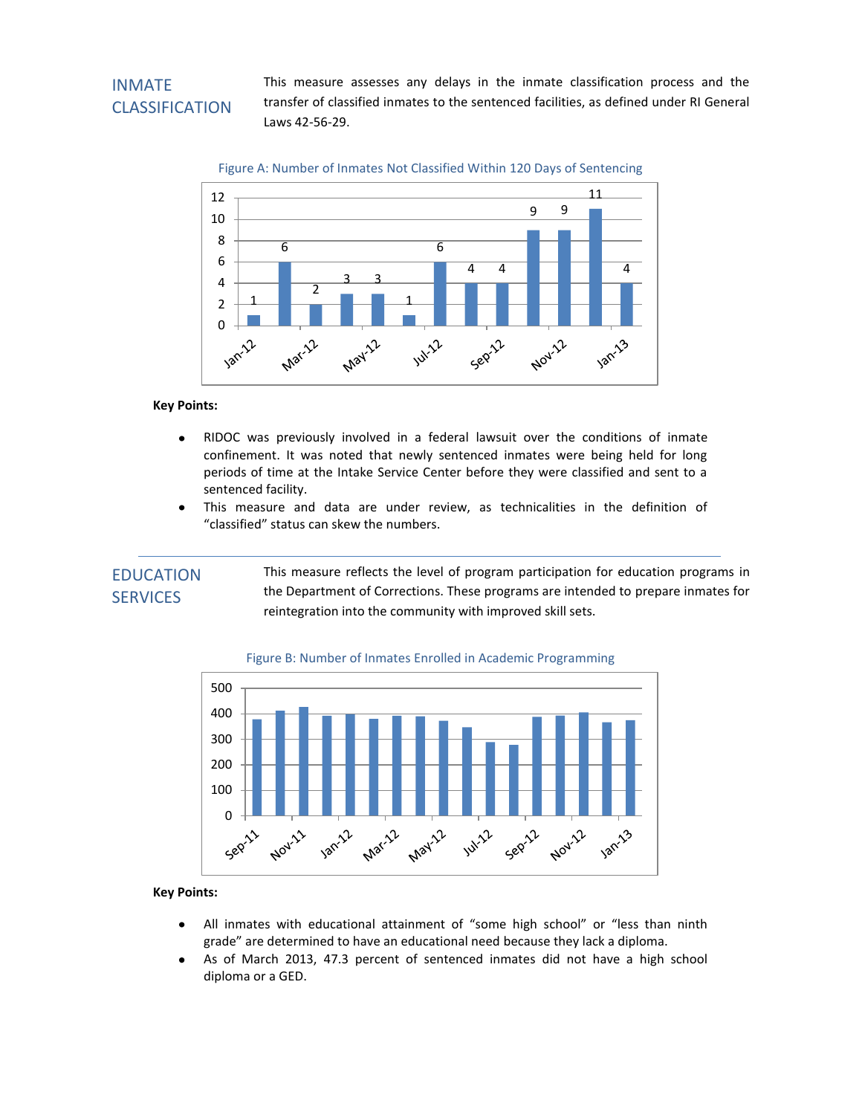### INMATE CLASSIFICATION

This measure assesses any delays in the inmate classification process and the transfer of classified inmates to the sentenced facilities, as defined under RI General Laws 42-56-29.





#### **Key Points:**

- $\bullet$ RIDOC was previously involved in a federal lawsuit over the conditions of inmate confinement. It was noted that newly sentenced inmates were being held for long periods of time at the Intake Service Center before they were classified and sent to a sentenced facility.
- This measure and data are under review, as technicalities in the definition of  $\bullet$ "classified" status can skew the numbers.

### EDUCATION **SERVICES**

This measure reflects the level of program participation for education programs in the Department of Corrections. These programs are intended to prepare inmates for reintegration into the community with improved skill sets.



#### Figure B: Number of Inmates Enrolled in Academic Programming

- All inmates with educational attainment of "some high school" or "less than ninth  $\bullet$ grade" are determined to have an educational need because they lack a diploma.
- $\bullet$ As of March 2013, 47.3 percent of sentenced inmates did not have a high school diploma or a GED.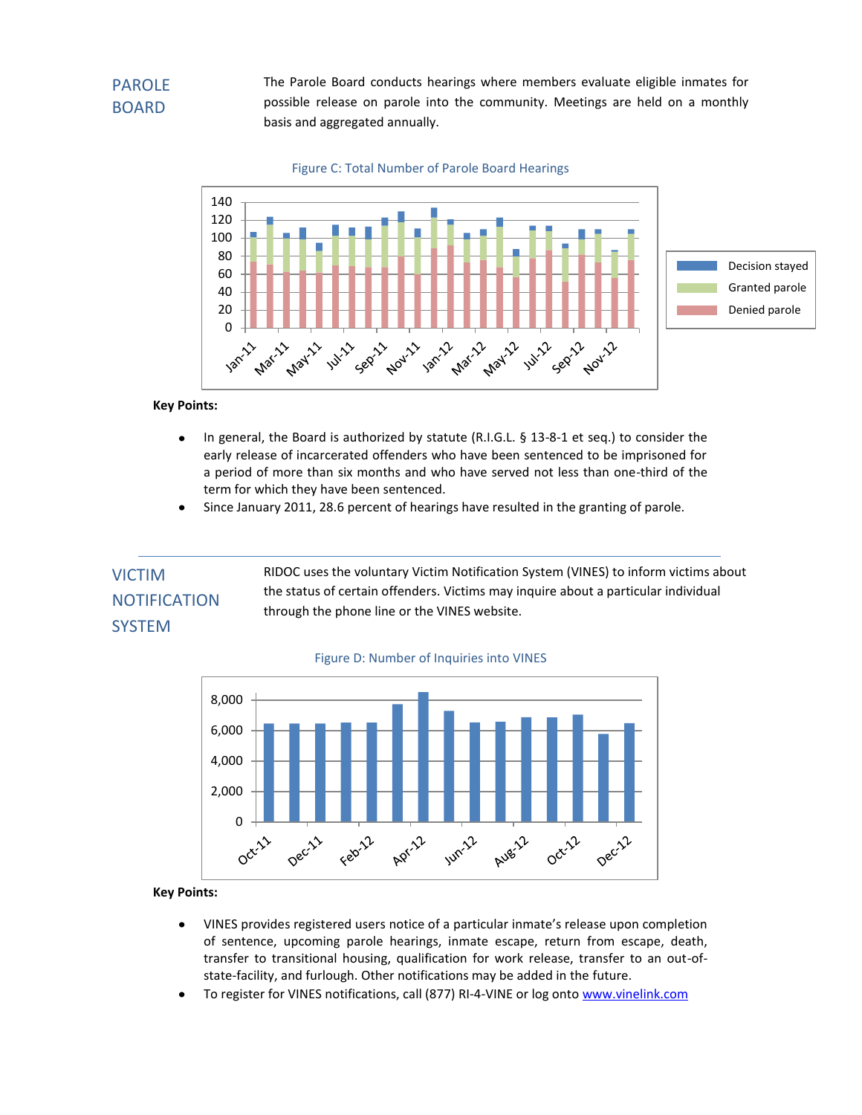The Parole Board conducts hearings where members evaluate eligible inmates for possible release on parole into the community. Meetings are held on a monthly basis and aggregated annually.





#### **Key Points:**

- $\bullet$ In general, the Board is authorized by statute (R.I.G.L. § 13-8-1 et seq.) to consider the early release of incarcerated offenders who have been sentenced to be imprisoned for a period of more than six months and who have served not less than one-third of the term for which they have been sentenced.
- Since January 2011, 28.6 percent of hearings have resulted in the granting of parole.

## VICTIM **NOTIFICATION** SYSTEM

RIDOC uses the voluntary Victim Notification System (VINES) to inform victims about the status of certain offenders. Victims may inquire about a particular individual through the phone line or the VINES website.

#### Figure D: Number of Inquiries into VINES



- VINES provides registered users notice of a particular inmate's release upon completion  $\bullet$ of sentence, upcoming parole hearings, inmate escape, return from escape, death, transfer to transitional housing, qualification for work release, transfer to an out-ofstate-facility, and furlough. Other notifications may be added in the future.
- To register for VINES notifications, call (877) RI-4-VINE or log ont[o www.vinelink.com](http://www.vinelink.com/)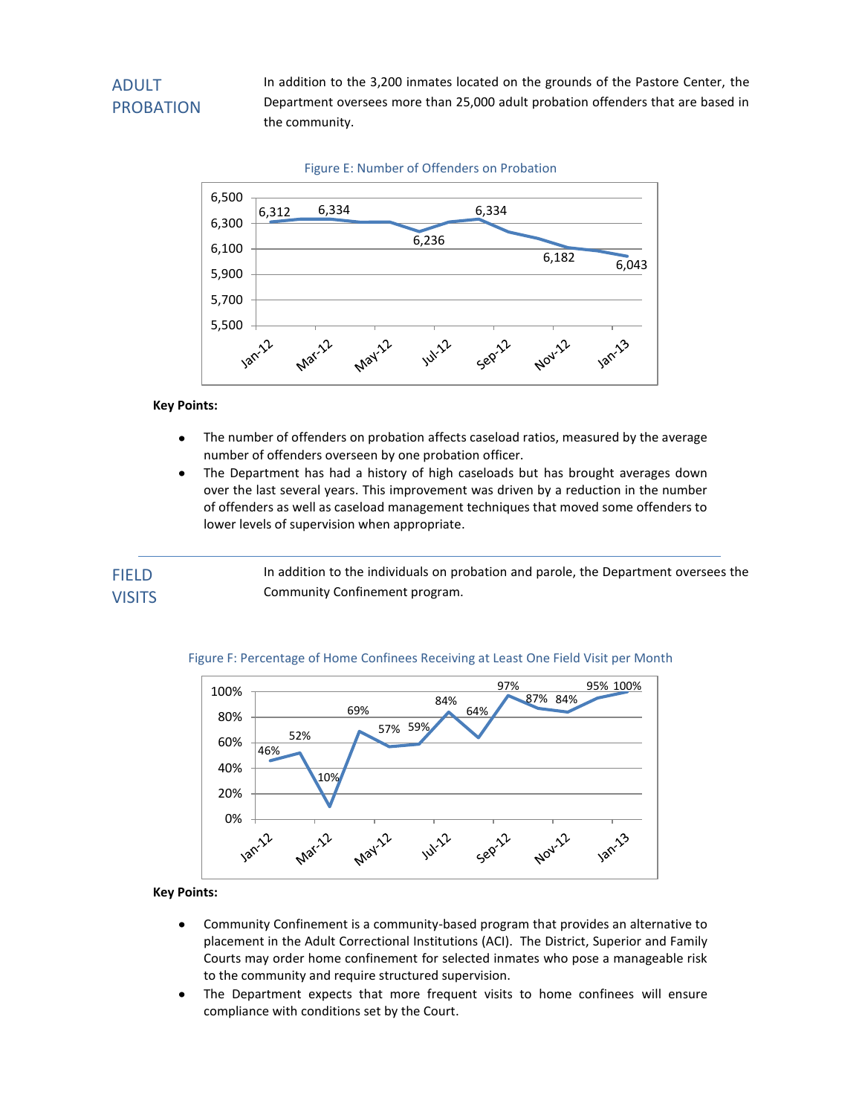## ADULT PROBATION

In addition to the 3,200 inmates located on the grounds of the Pastore Center, the Department oversees more than 25,000 adult probation offenders that are based in the community.



#### **Key Points:**

- $\bullet$ The number of offenders on probation affects caseload ratios, measured by the average number of offenders overseen by one probation officer.
- The Department has had a history of high caseloads but has brought averages down  $\bullet$ over the last several years. This improvement was driven by a reduction in the number of offenders as well as caseload management techniques that moved some offenders to lower levels of supervision when appropriate.

In addition to the individuals on probation and parole, the Department oversees the Community Confinement program. FIELD **VISITS** 



#### Figure F: Percentage of Home Confinees Receiving at Least One Field Visit per Month

- Community Confinement is a community-based program that provides an alternative to  $\bullet$ placement in the Adult Correctional Institutions (ACI). The District, Superior and Family Courts may order home confinement for selected inmates who pose a manageable risk to the community and require structured supervision.
- The Department expects that more frequent visits to home confinees will ensure  $\bullet$ compliance with conditions set by the Court.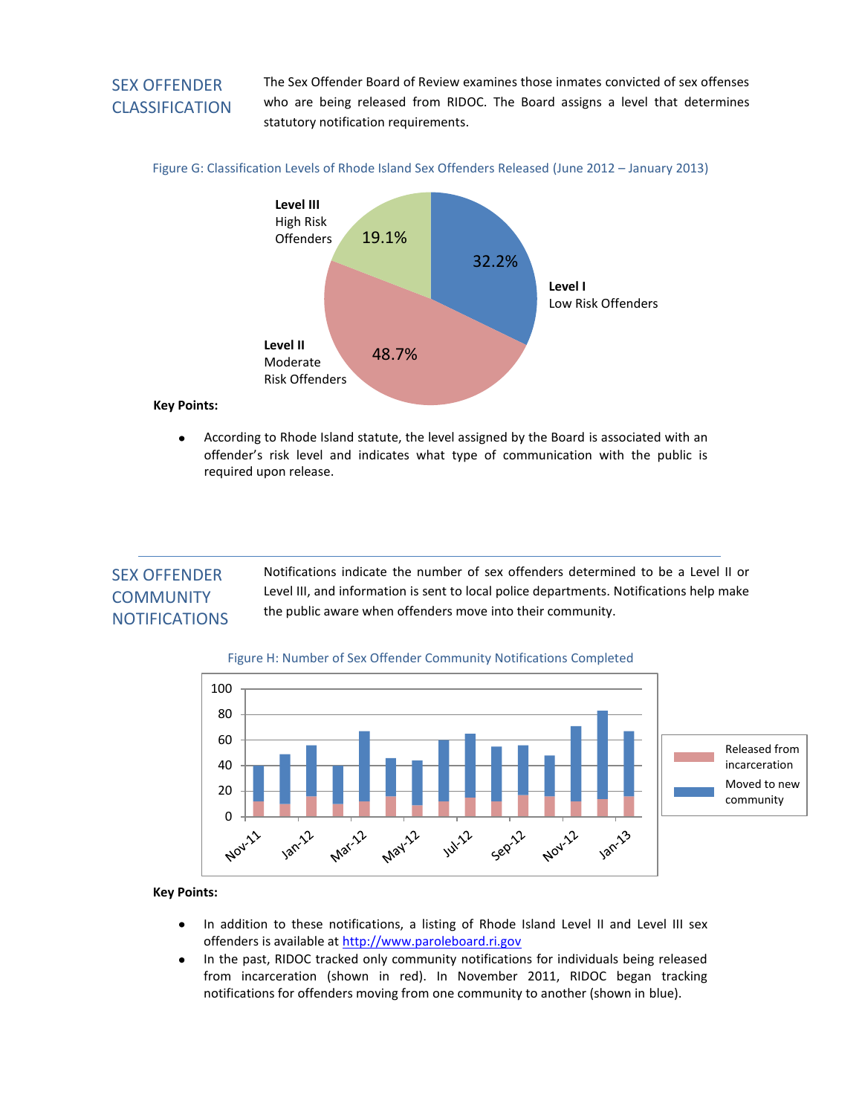## SEX OFFENDER CLASSIFICATION

The Sex Offender Board of Review examines those inmates convicted of sex offenses who are being released from RIDOC. The Board assigns a level that determines statutory notification requirements.





#### **Key Points:**

 $\bullet$ According to Rhode Island statute, the level assigned by the Board is associated with an offender's risk level and indicates what type of communication with the public is required upon release.

### SEX OFFENDER **COMMUNITY NOTIFICATIONS**

Notifications indicate the number of sex offenders determined to be a Level II or Level III, and information is sent to local police departments. Notifications help make the public aware when offenders move into their community.





- In addition to these notifications, a listing of Rhode Island Level II and Level III sex  $\bullet$ offenders is available at [http://www.paroleboard.ri.gov](http://www.paroleboard.ri.gov/)
- $\bullet$ In the past, RIDOC tracked only community notifications for individuals being released from incarceration (shown in red). In November 2011, RIDOC began tracking notifications for offenders moving from one community to another (shown in blue).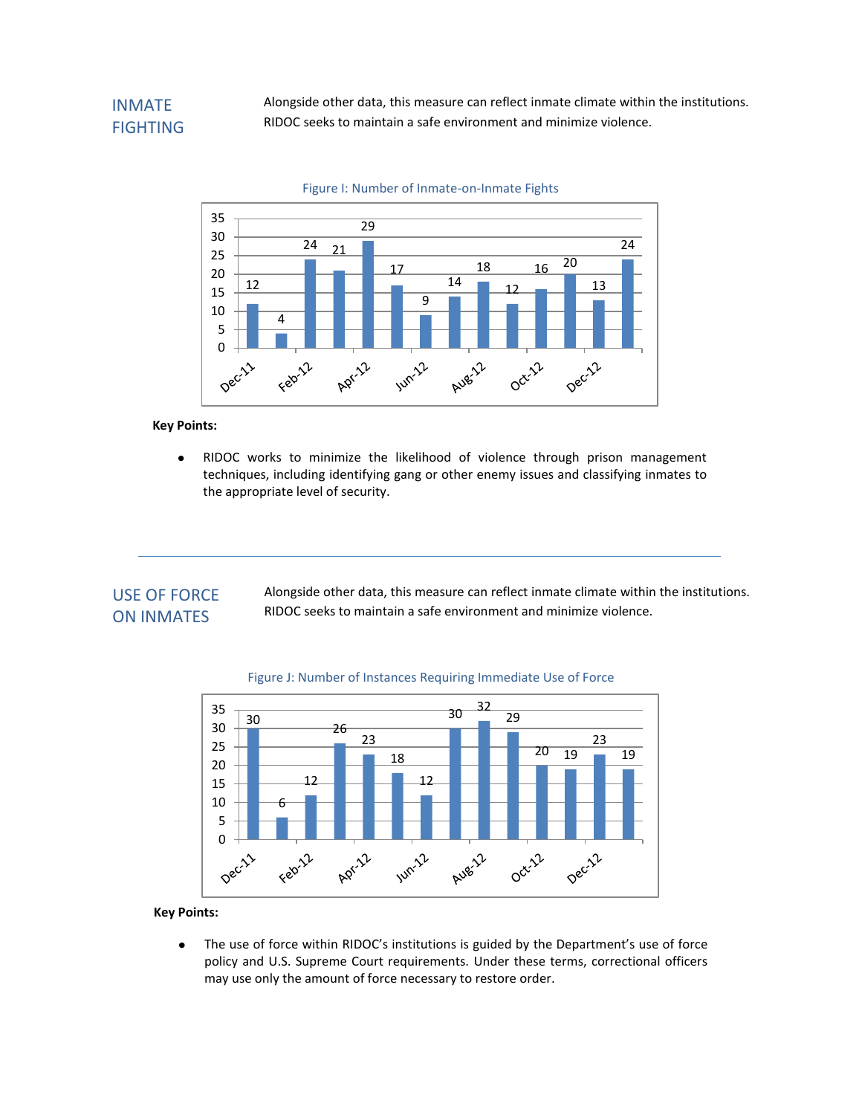Alongside other data, this measure can reflect inmate climate within the institutions. RIDOC seeks to maintain a safe environment and minimize violence.



#### **Key Points:**

 $\bullet$ RIDOC works to minimize the likelihood of violence through prison management techniques, including identifying gang or other enemy issues and classifying inmates to the appropriate level of security.

### USE OF FORCE ON INMATES

Alongside other data, this measure can reflect inmate climate within the institutions. RIDOC seeks to maintain a safe environment and minimize violence.



#### Figure J: Number of Instances Requiring Immediate Use of Force

#### **Key Points:**

The use of force within RIDOC's institutions is guided by the Department's use of force  $\bullet$ policy and U.S. Supreme Court requirements. Under these terms, correctional officers may use only the amount of force necessary to restore order.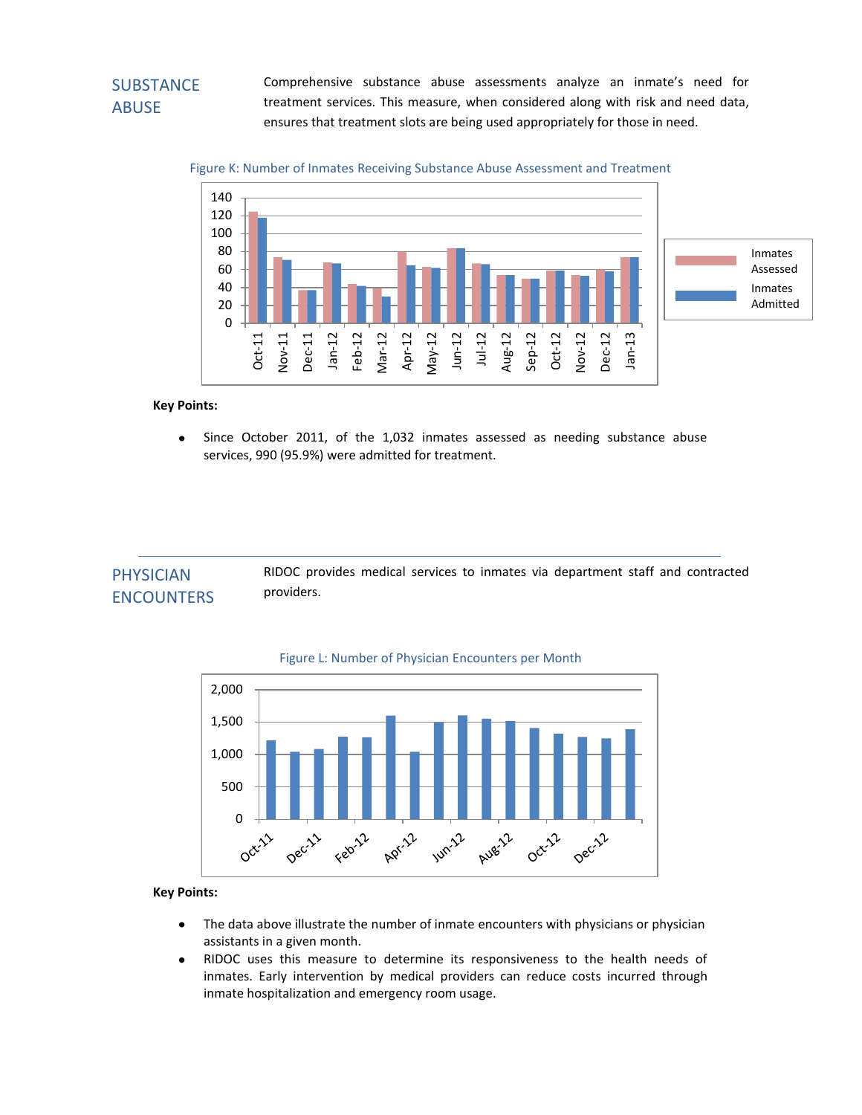## **SUBSTANCE** ABUSE

 treatment services. This measure, when considered along with risk and need data, Comprehensive substance abuse assessments analyze an inmate's need for ensures that treatment slots are being used appropriately for those in need.





#### **Key Points:**

 $\bullet$ Since October 2011, of the 1,032 inmates assessed as needing substance abuse services, 990 (95.9%) were admitted for treatment.

| <b>PHYSICIAN</b>  | RIDOC provides medical services to inmates via department staff and contracted |
|-------------------|--------------------------------------------------------------------------------|
| <b>ENCOUNTERS</b> | providers.                                                                     |





- The data above illustrate the number of inmate encounters with physicians or physician  $\bullet$ assistants in a given month.
- $\bullet$ RIDOC uses this measure to determine its responsiveness to the health needs of inmates. Early intervention by medical providers can reduce costs incurred through inmate hospitalization and emergency room usage.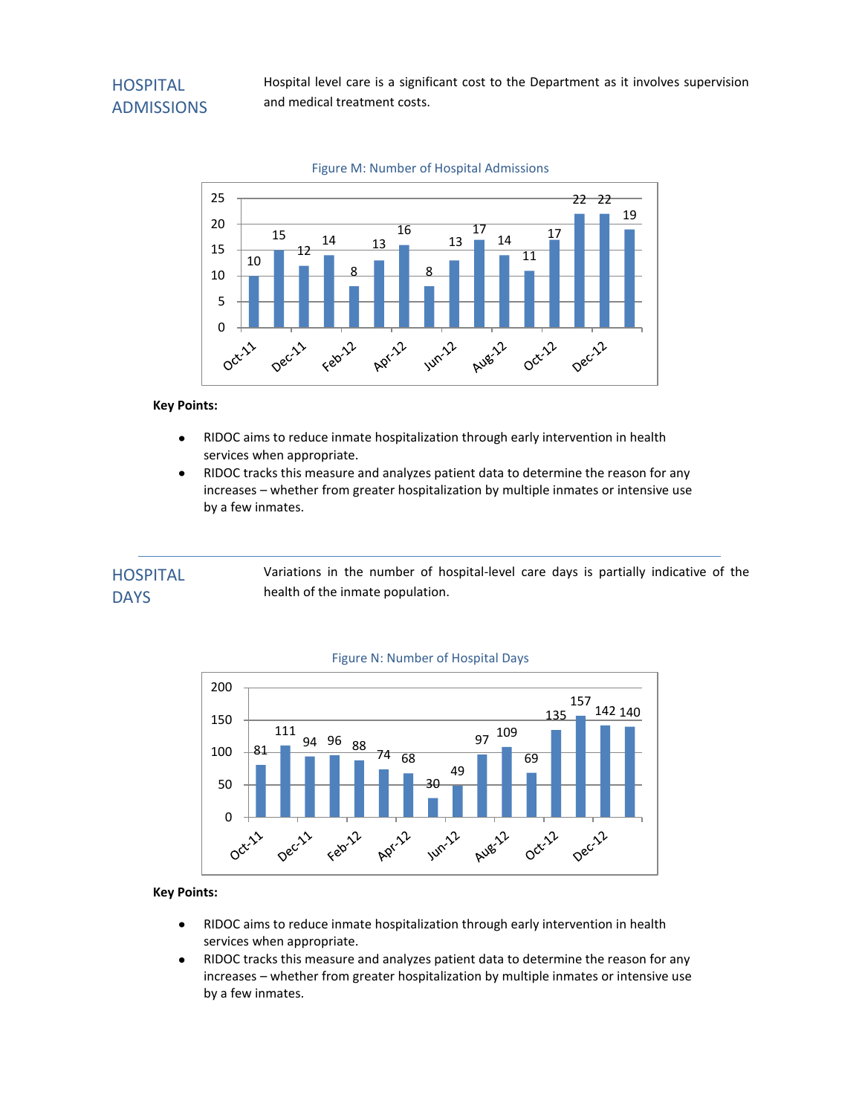## **HOSPITAL** ADMISSIONS

Hospital level care is a significant cost to the Department as it involves supervision and medical treatment costs.



### Figure M: Number of Hospital Admissions

#### **Key Points:**

- $\bullet$ RIDOC aims to reduce inmate hospitalization through early intervention in health services when appropriate.
- RIDOC tracks this measure and analyzes patient data to determine the reason for any  $\bullet$ increases – whether from greater hospitalization by multiple inmates or intensive use by a few inmates.

#### Variations in the number of hospital-level care days is partially indicative of the health of the inmate population. **HOSPITAL DAYS**



#### Figure N: Number of Hospital Days

- RIDOC aims to reduce inmate hospitalization through early intervention in health  $\bullet$ services when appropriate.
- $\bullet$ RIDOC tracks this measure and analyzes patient data to determine the reason for any increases – whether from greater hospitalization by multiple inmates or intensive use by a few inmates.